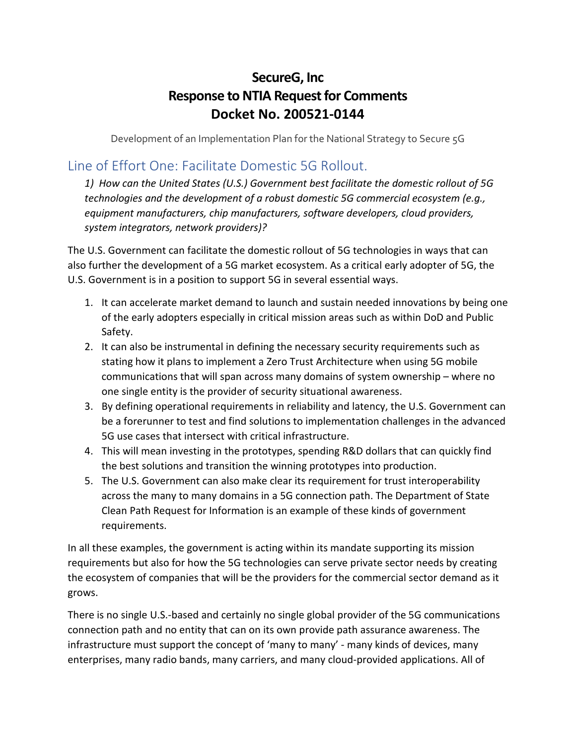## **SecureG, Inc Response to NTIA Request for Comments Docket No. 200521-0144**

Development of an Implementation Plan for the National Strategy to Secure 5G

### Line of Effort One: Facilitate Domestic 5G Rollout.

*1) How can the United States (U.S.) Government best facilitate the domestic rollout of 5G technologies and the development of a robust domestic 5G commercial ecosystem (e.g., equipment manufacturers, chip manufacturers, software developers, cloud providers, system integrators, network providers)?* 

The U.S. Government can facilitate the domestic rollout of 5G technologies in ways that can also further the development of a 5G market ecosystem. As a critical early adopter of 5G, the U.S. Government is in a position to support 5G in several essential ways.

- 1. It can accelerate market demand to launch and sustain needed innovations by being one of the early adopters especially in critical mission areas such as within DoD and Public Safety.
- 2. It can also be instrumental in defining the necessary security requirements such as stating how it plans to implement a Zero Trust Architecture when using 5G mobile communications that will span across many domains of system ownership – where no one single entity is the provider of security situational awareness.
- 3. By defining operational requirements in reliability and latency, the U.S. Government can be a forerunner to test and find solutions to implementation challenges in the advanced 5G use cases that intersect with critical infrastructure.
- 4. This will mean investing in the prototypes, spending R&D dollars that can quickly find the best solutions and transition the winning prototypes into production.
- 5. The U.S. Government can also make clear its requirement for trust interoperability across the many to many domains in a 5G connection path. The Department of State Clean Path Request for Information is an example of these kinds of government requirements.

In all these examples, the government is acting within its mandate supporting its mission requirements but also for how the 5G technologies can serve private sector needs by creating the ecosystem of companies that will be the providers for the commercial sector demand as it grows.

There is no single U.S.-based and certainly no single global provider of the 5G communications connection path and no entity that can on its own provide path assurance awareness. The infrastructure must support the concept of 'many to many' - many kinds of devices, many enterprises, many radio bands, many carriers, and many cloud-provided applications. All of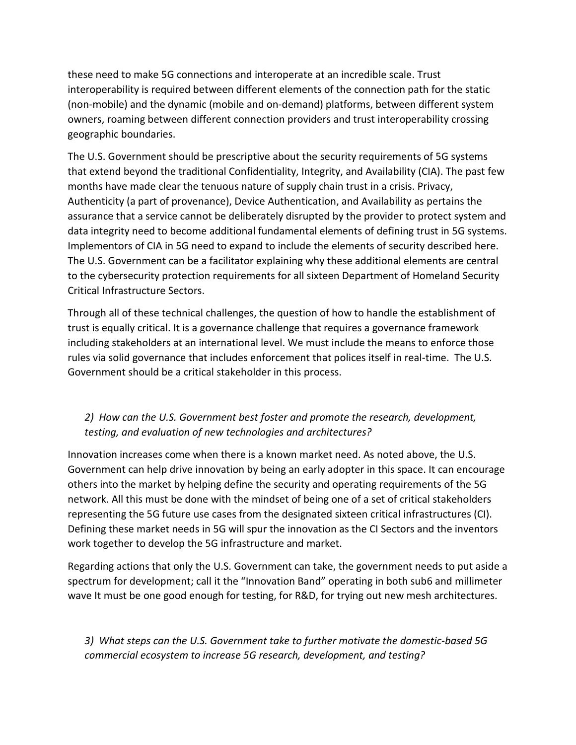these need to make 5G connections and interoperate at an incredible scale. Trust interoperability is required between different elements of the connection path for the static (non-mobile) and the dynamic (mobile and on-demand) platforms, between different system owners, roaming between different connection providers and trust interoperability crossing geographic boundaries.

The U.S. Government should be prescriptive about the security requirements of 5G systems that extend beyond the traditional Confidentiality, Integrity, and Availability (CIA). The past few months have made clear the tenuous nature of supply chain trust in a crisis. Privacy, Authenticity (a part of provenance), Device Authentication, and Availability as pertains the assurance that a service cannot be deliberately disrupted by the provider to protect system and data integrity need to become additional fundamental elements of defining trust in 5G systems. Implementors of CIA in 5G need to expand to include the elements of security described here. The U.S. Government can be a facilitator explaining why these additional elements are central to the cybersecurity protection requirements for all sixteen Department of Homeland Security Critical Infrastructure Sectors.

Through all of these technical challenges, the question of how to handle the establishment of trust is equally critical. It is a governance challenge that requires a governance framework including stakeholders at an international level. We must include the means to enforce those rules via solid governance that includes enforcement that polices itself in real-time. The U.S. Government should be a critical stakeholder in this process.

### *2) How can the U.S. Government best foster and promote the research, development, testing, and evaluation of new technologies and architectures?*

Innovation increases come when there is a known market need. As noted above, the U.S. Government can help drive innovation by being an early adopter in this space. It can encourage others into the market by helping define the security and operating requirements of the 5G network. All this must be done with the mindset of being one of a set of critical stakeholders representing the 5G future use cases from the designated sixteen critical infrastructures (CI). Defining these market needs in 5G will spur the innovation as the CI Sectors and the inventors work together to develop the 5G infrastructure and market.

Regarding actions that only the U.S. Government can take, the government needs to put aside a spectrum for development; call it the "Innovation Band" operating in both sub6 and millimeter wave It must be one good enough for testing, for R&D, for trying out new mesh architectures.

*3) What steps can the U.S. Government take to further motivate the domestic-based 5G commercial ecosystem to increase 5G research, development, and testing?*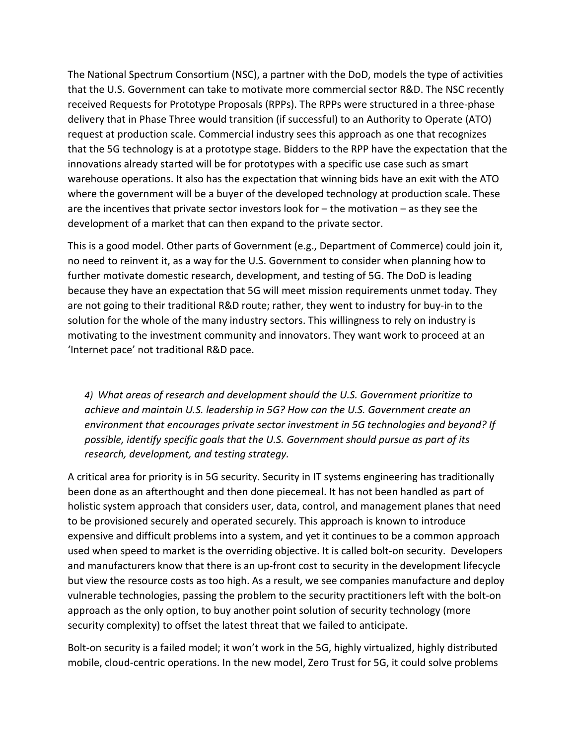The National Spectrum Consortium (NSC), a partner with the DoD, models the type of activities that the U.S. Government can take to motivate more commercial sector R&D. The NSC recently received Requests for Prototype Proposals (RPPs). The RPPs were structured in a three-phase delivery that in Phase Three would transition (if successful) to an Authority to Operate (ATO) request at production scale. Commercial industry sees this approach as one that recognizes that the 5G technology is at a prototype stage. Bidders to the RPP have the expectation that the innovations already started will be for prototypes with a specific use case such as smart warehouse operations. It also has the expectation that winning bids have an exit with the ATO where the government will be a buyer of the developed technology at production scale. These are the incentives that private sector investors look for – the motivation – as they see the development of a market that can then expand to the private sector.

This is a good model. Other parts of Government (e.g., Department of Commerce) could join it, no need to reinvent it, as a way for the U.S. Government to consider when planning how to further motivate domestic research, development, and testing of 5G. The DoD is leading because they have an expectation that 5G will meet mission requirements unmet today. They are not going to their traditional R&D route; rather, they went to industry for buy-in to the solution for the whole of the many industry sectors. This willingness to rely on industry is motivating to the investment community and innovators. They want work to proceed at an 'Internet pace' not traditional R&D pace.

*4) What areas of research and development should the U.S. Government prioritize to achieve and maintain U.S. leadership in 5G? How can the U.S. Government create an environment that encourages private sector investment in 5G technologies and beyond? If possible, identify specific goals that the U.S. Government should pursue as part of its research, development, and testing strategy.* 

A critical area for priority is in 5G security. Security in IT systems engineering has traditionally been done as an afterthought and then done piecemeal. It has not been handled as part of holistic system approach that considers user, data, control, and management planes that need to be provisioned securely and operated securely. This approach is known to introduce expensive and difficult problems into a system, and yet it continues to be a common approach used when speed to market is the overriding objective. It is called bolt-on security. Developers and manufacturers know that there is an up-front cost to security in the development lifecycle but view the resource costs as too high. As a result, we see companies manufacture and deploy vulnerable technologies, passing the problem to the security practitioners left with the bolt-on approach as the only option, to buy another point solution of security technology (more security complexity) to offset the latest threat that we failed to anticipate.

Bolt-on security is a failed model; it won't work in the 5G, highly virtualized, highly distributed mobile, cloud-centric operations. In the new model, Zero Trust for 5G, it could solve problems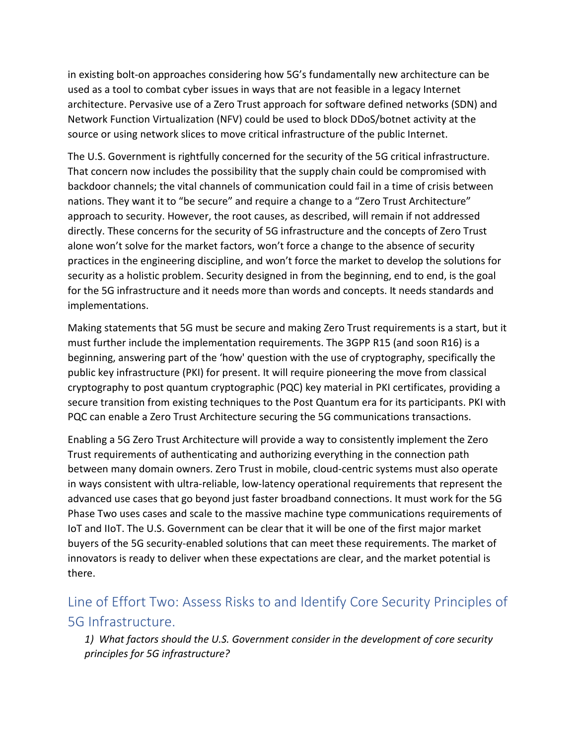in existing bolt-on approaches considering how 5G's fundamentally new architecture can be used as a tool to combat cyber issues in ways that are not feasible in a legacy Internet architecture. Pervasive use of a Zero Trust approach for software defined networks (SDN) and Network Function Virtualization (NFV) could be used to block DDoS/botnet activity at the source or using network slices to move critical infrastructure of the public Internet.

The U.S. Government is rightfully concerned for the security of the 5G critical infrastructure. That concern now includes the possibility that the supply chain could be compromised with backdoor channels; the vital channels of communication could fail in a time of crisis between nations. They want it to "be secure" and require a change to a "Zero Trust Architecture" approach to security. However, the root causes, as described, will remain if not addressed directly. These concerns for the security of 5G infrastructure and the concepts of Zero Trust alone won't solve for the market factors, won't force a change to the absence of security practices in the engineering discipline, and won't force the market to develop the solutions for security as a holistic problem. Security designed in from the beginning, end to end, is the goal for the 5G infrastructure and it needs more than words and concepts. It needs standards and implementations.

Making statements that 5G must be secure and making Zero Trust requirements is a start, but it must further include the implementation requirements. The 3GPP R15 (and soon R16) is a beginning, answering part of the 'how' question with the use of cryptography, specifically the public key infrastructure (PKI) for present. It will require pioneering the move from classical cryptography to post quantum cryptographic (PQC) key material in PKI certificates, providing a secure transition from existing techniques to the Post Quantum era for its participants. PKI with PQC can enable a Zero Trust Architecture securing the 5G communications transactions.

Enabling a 5G Zero Trust Architecture will provide a way to consistently implement the Zero Trust requirements of authenticating and authorizing everything in the connection path between many domain owners. Zero Trust in mobile, cloud-centric systems must also operate in ways consistent with ultra-reliable, low-latency operational requirements that represent the advanced use cases that go beyond just faster broadband connections. It must work for the 5G Phase Two uses cases and scale to the massive machine type communications requirements of IoT and IIoT. The U.S. Government can be clear that it will be one of the first major market buyers of the 5G security-enabled solutions that can meet these requirements. The market of innovators is ready to deliver when these expectations are clear, and the market potential is there.

# Line of Effort Two: Assess Risks to and Identify Core Security Principles of 5G Infrastructure.

*1) What factors should the U.S. Government consider in the development of core security principles for 5G infrastructure?*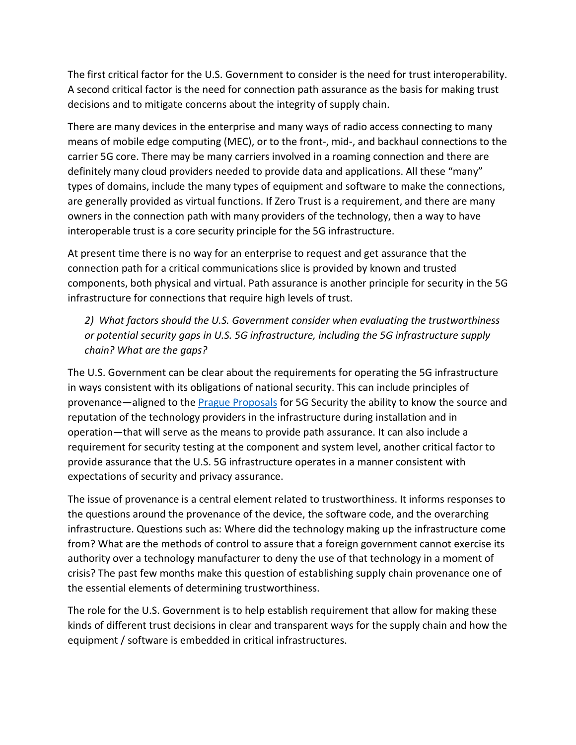The first critical factor for the U.S. Government to consider is the need for trust interoperability. A second critical factor is the need for connection path assurance as the basis for making trust decisions and to mitigate concerns about the integrity of supply chain.

There are many devices in the enterprise and many ways of radio access connecting to many means of mobile edge computing (MEC), or to the front-, mid-, and backhaul connections to the carrier 5G core. There may be many carriers involved in a roaming connection and there are definitely many cloud providers needed to provide data and applications. All these "many" types of domains, include the many types of equipment and software to make the connections, are generally provided as virtual functions. If Zero Trust is a requirement, and there are many owners in the connection path with many providers of the technology, then a way to have interoperable trust is a core security principle for the 5G infrastructure.

At present time there is no way for an enterprise to request and get assurance that the connection path for a critical communications slice is provided by known and trusted components, both physical and virtual. Path assurance is another principle for security in the 5G infrastructure for connections that require high levels of trust.

*2) What factors should the U.S. Government consider when evaluating the trustworthiness or potential security gaps in U.S. 5G infrastructure, including the 5G infrastructure supply chain? What are the gaps?* 

The U.S. Government can be clear about the requirements for operating the 5G infrastructure in ways consistent with its obligations of national security. This can include principles of provenance—aligned to th[e Prague Proposals](https://share.america.gov/countries-agree-on-5g-security-in-prague/) for 5G Security the ability to know the source and reputation of the technology providers in the infrastructure during installation and in operation—that will serve as the means to provide path assurance. It can also include a requirement for security testing at the component and system level, another critical factor to provide assurance that the U.S. 5G infrastructure operates in a manner consistent with expectations of security and privacy assurance.

The issue of provenance is a central element related to trustworthiness. It informs responses to the questions around the provenance of the device, the software code, and the overarching infrastructure. Questions such as: Where did the technology making up the infrastructure come from? What are the methods of control to assure that a foreign government cannot exercise its authority over a technology manufacturer to deny the use of that technology in a moment of crisis? The past few months make this question of establishing supply chain provenance one of the essential elements of determining trustworthiness.

The role for the U.S. Government is to help establish requirement that allow for making these kinds of different trust decisions in clear and transparent ways for the supply chain and how the equipment / software is embedded in critical infrastructures.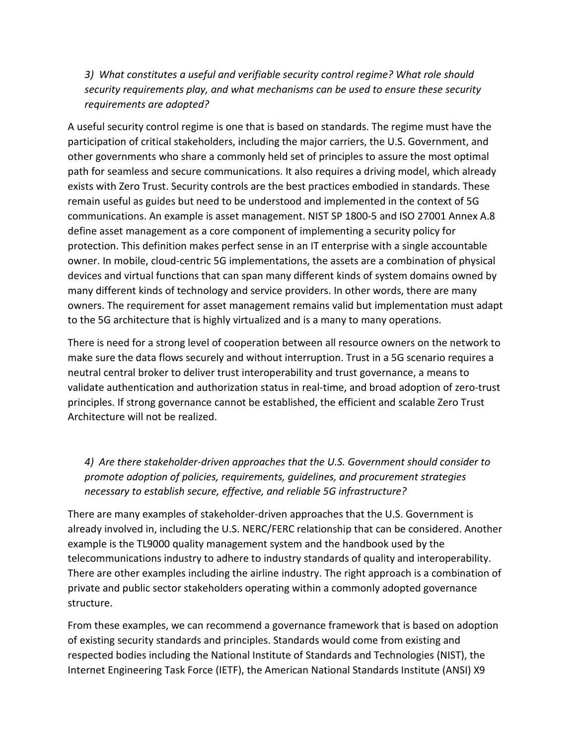*3) What constitutes a useful and verifiable security control regime? What role should security requirements play, and what mechanisms can be used to ensure these security requirements are adopted?* 

A useful security control regime is one that is based on standards. The regime must have the participation of critical stakeholders, including the major carriers, the U.S. Government, and other governments who share a commonly held set of principles to assure the most optimal path for seamless and secure communications. It also requires a driving model, which already exists with Zero Trust. Security controls are the best practices embodied in standards. These remain useful as guides but need to be understood and implemented in the context of 5G communications. An example is asset management. NIST SP 1800-5 and ISO 27001 Annex A.8 define asset management as a core component of implementing a security policy for protection. This definition makes perfect sense in an IT enterprise with a single accountable owner. In mobile, cloud-centric 5G implementations, the assets are a combination of physical devices and virtual functions that can span many different kinds of system domains owned by many different kinds of technology and service providers. In other words, there are many owners. The requirement for asset management remains valid but implementation must adapt to the 5G architecture that is highly virtualized and is a many to many operations.

There is need for a strong level of cooperation between all resource owners on the network to make sure the data flows securely and without interruption. Trust in a 5G scenario requires a neutral central broker to deliver trust interoperability and trust governance, a means to validate authentication and authorization status in real-time, and broad adoption of zero-trust principles. If strong governance cannot be established, the efficient and scalable Zero Trust Architecture will not be realized.

*4) Are there stakeholder-driven approaches that the U.S. Government should consider to promote adoption of policies, requirements, guidelines, and procurement strategies necessary to establish secure, effective, and reliable 5G infrastructure?*

There are many examples of stakeholder-driven approaches that the U.S. Government is already involved in, including the U.S. NERC/FERC relationship that can be considered. Another example is the TL9000 quality management system and the handbook used by the telecommunications industry to adhere to industry standards of quality and interoperability. There are other examples including the airline industry. The right approach is a combination of private and public sector stakeholders operating within a commonly adopted governance structure.

From these examples, we can recommend a governance framework that is based on adoption of existing security standards and principles. Standards would come from existing and respected bodies including the National Institute of Standards and Technologies (NIST), the Internet Engineering Task Force (IETF), the American National Standards Institute (ANSI) X9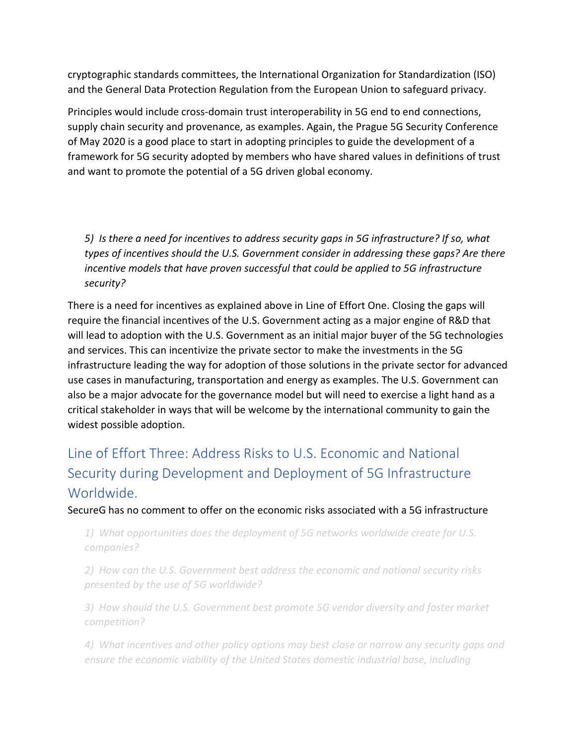cryptographic standards committees, the International Organization for Standardization (ISO) and the General Data Protection Regulation from the European Union to safeguard privacy.

Principles would include cross-domain trust interoperability in 5G end to end connections, supply chain security and provenance, as examples. Again, the Prague 5G Security Conference of May 2020 is a good place to start in adopting principles to guide the development of a framework for 5G security adopted by members who have shared values in definitions of trust and want to promote the potential of a 5G driven global economy.

*5) Is there a need for incentives to address security gaps in 5G infrastructure? If so, what types of incentives should the U.S. Government consider in addressing these gaps? Are there incentive models that have proven successful that could be applied to 5G infrastructure security?* 

There is a need for incentives as explained above in Line of Effort One. Closing the gaps will require the financial incentives of the U.S. Government acting as a major engine of R&D that will lead to adoption with the U.S. Government as an initial major buyer of the 5G technologies and services. This can incentivize the private sector to make the investments in the 5G infrastructure leading the way for adoption of those solutions in the private sector for advanced use cases in manufacturing, transportation and energy as examples. The U.S. Government can also be a major advocate for the governance model but will need to exercise a light hand as a critical stakeholder in ways that will be welcome by the international community to gain the widest possible adoption.

# Line of Effort Three: Address Risks to U.S. Economic and National Security during Development and Deployment of 5G Infrastructure Worldwide.

SecureG has no comment to offer on the economic risks associated with a 5G infrastructure

*1) What opportunities does the deployment of 5G networks worldwide create for U.S. companies?* 

*2) How can the U.S. Government best address the economic and national security risks presented by the use of 5G worldwide?*

*3) How should the U.S. Government best promote 5G vendor diversity and foster market competition?* 

*4) What incentives and other policy options may best close or narrow any security gaps and ensure the economic viability of the United States domestic industrial base, including*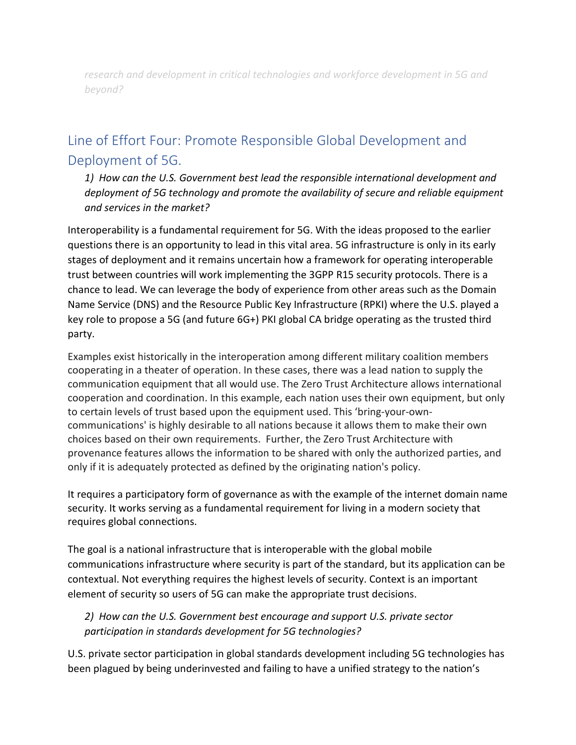*research and development in critical technologies and workforce development in 5G and beyond?* 

# Line of Effort Four: Promote Responsible Global Development and Deployment of 5G.

*1) How can the U.S. Government best lead the responsible international development and deployment of 5G technology and promote the availability of secure and reliable equipment and services in the market?* 

Interoperability is a fundamental requirement for 5G. With the ideas proposed to the earlier questions there is an opportunity to lead in this vital area. 5G infrastructure is only in its early stages of deployment and it remains uncertain how a framework for operating interoperable trust between countries will work implementing the 3GPP R15 security protocols. There is a chance to lead. We can leverage the body of experience from other areas such as the Domain Name Service (DNS) and the Resource Public Key Infrastructure (RPKI) where the U.S. played a key role to propose a 5G (and future 6G+) PKI global CA bridge operating as the trusted third party.

Examples exist historically in the interoperation among different military coalition members cooperating in a theater of operation. In these cases, there was a lead nation to supply the communication equipment that all would use. The Zero Trust Architecture allows international cooperation and coordination. In this example, each nation uses their own equipment, but only to certain levels of trust based upon the equipment used. This 'bring-your-owncommunications' is highly desirable to all nations because it allows them to make their own choices based on their own requirements. Further, the Zero Trust Architecture with provenance features allows the information to be shared with only the authorized parties, and only if it is adequately protected as defined by the originating nation's policy.

It requires a participatory form of governance as with the example of the internet domain name security. It works serving as a fundamental requirement for living in a modern society that requires global connections.

The goal is a national infrastructure that is interoperable with the global mobile communications infrastructure where security is part of the standard, but its application can be contextual. Not everything requires the highest levels of security. Context is an important element of security so users of 5G can make the appropriate trust decisions.

*2) How can the U.S. Government best encourage and support U.S. private sector participation in standards development for 5G technologies?* 

U.S. private sector participation in global standards development including 5G technologies has been plagued by being underinvested and failing to have a unified strategy to the nation's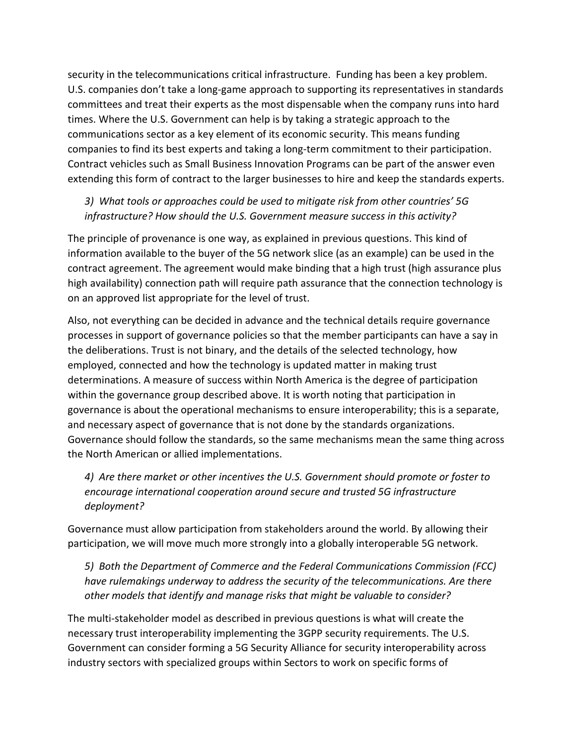security in the telecommunications critical infrastructure. Funding has been a key problem. U.S. companies don't take a long-game approach to supporting its representatives in standards committees and treat their experts as the most dispensable when the company runs into hard times. Where the U.S. Government can help is by taking a strategic approach to the communications sector as a key element of its economic security. This means funding companies to find its best experts and taking a long-term commitment to their participation. Contract vehicles such as Small Business Innovation Programs can be part of the answer even extending this form of contract to the larger businesses to hire and keep the standards experts.

#### *3) What tools or approaches could be used to mitigate risk from other countries' 5G infrastructure? How should the U.S. Government measure success in this activity?*

The principle of provenance is one way, as explained in previous questions. This kind of information available to the buyer of the 5G network slice (as an example) can be used in the contract agreement. The agreement would make binding that a high trust (high assurance plus high availability) connection path will require path assurance that the connection technology is on an approved list appropriate for the level of trust.

Also, not everything can be decided in advance and the technical details require governance processes in support of governance policies so that the member participants can have a say in the deliberations. Trust is not binary, and the details of the selected technology, how employed, connected and how the technology is updated matter in making trust determinations. A measure of success within North America is the degree of participation within the governance group described above. It is worth noting that participation in governance is about the operational mechanisms to ensure interoperability; this is a separate, and necessary aspect of governance that is not done by the standards organizations. Governance should follow the standards, so the same mechanisms mean the same thing across the North American or allied implementations.

*4) Are there market or other incentives the U.S. Government should promote or foster to encourage international cooperation around secure and trusted 5G infrastructure deployment?* 

Governance must allow participation from stakeholders around the world. By allowing their participation, we will move much more strongly into a globally interoperable 5G network.

*5) Both the Department of Commerce and the Federal Communications Commission (FCC) have rulemakings underway to address the security of the telecommunications. Are there other models that identify and manage risks that might be valuable to consider?*

The multi-stakeholder model as described in previous questions is what will create the necessary trust interoperability implementing the 3GPP security requirements. The U.S. Government can consider forming a 5G Security Alliance for security interoperability across industry sectors with specialized groups within Sectors to work on specific forms of